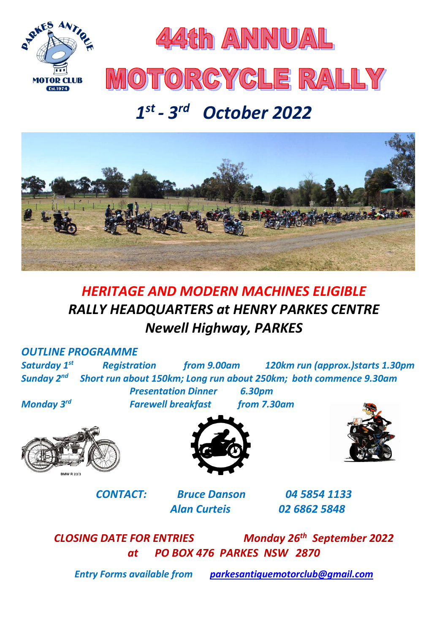



# MOTORGYCLE RALLY

# *1 st - 3 rd October 2022*



# *HERITAGE AND MODERN MACHINES ELIGIBLE RALLY HEADQUARTERS at HENRY PARKES CENTRE Newell Highway, PARKES*

## *OUTLINE PROGRAMME*

*Saturday 1 st Registration from 9.00am 120km run (approx.)starts 1.30pm Sunday 2 nd Short run about 150km; Long run about 250km; both commence 9.30am Presentation Dinner 6.30pm*

**Farewell breakfast from 7.30am** 

*Monday 3*



*CONTACT: Bruce Danson 04 5854 1133 Alan Curteis 02 6862 5848*

**CLOSING DATE FOR ENTRIES Monday 26<sup>th</sup> September 2022** *at PO BOX 476 PARKES NSW 2870*

*Entry Forms available from [parkesantiquemotorclub@gmail.com](mailto:parkesantiquemotorclub@gmail.com)*

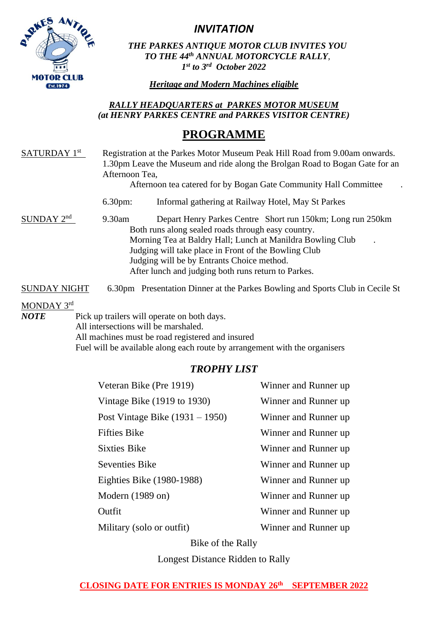

*INVITATION*

*THE PARKES ANTIQUE MOTOR CLUB INVITES YOU TO THE 44 th ANNUAL MOTORCYCLE RALLY, 1 st to 3rd October 2022*

*Heritage and Modern Machines eligible* 

#### *RALLY HEADQUARTERS at PARKES MOTOR MUSEUM (at HENRY PARKES CENTRE and PARKES VISITOR CENTRE)*

## **PROGRAMME**

| SATURDAY <sup>1st</sup> | Registration at the Parkes Motor Museum Peak Hill Road from 9.00am onwards.<br>1.30pm Leave the Museum and ride along the Brolgan Road to Bogan Gate for an<br>Afternoon Tea.<br>Afternoon tea catered for by Bogan Gate Community Hall Committee |                                                                                                                                                                                                                                                                                                                                                          |  |  |  |
|-------------------------|---------------------------------------------------------------------------------------------------------------------------------------------------------------------------------------------------------------------------------------------------|----------------------------------------------------------------------------------------------------------------------------------------------------------------------------------------------------------------------------------------------------------------------------------------------------------------------------------------------------------|--|--|--|
|                         | $6.30pm$ :                                                                                                                                                                                                                                        | Informal gathering at Railway Hotel, May St Parkes                                                                                                                                                                                                                                                                                                       |  |  |  |
| $SUNDAY$ $2nd$          | 9.30am                                                                                                                                                                                                                                            | Depart Henry Parkes Centre Short run 150km; Long run 250km<br>Both runs along sealed roads through easy country.<br>Morning Tea at Baldry Hall; Lunch at Manildra Bowling Club<br>$\bullet$<br>Judging will take place in Front of the Bowling Club<br>Judging will be by Entrants Choice method.<br>After lunch and judging both runs return to Parkes. |  |  |  |
| SUNDAY NIGHT            |                                                                                                                                                                                                                                                   | 6.30pm Presentation Dinner at the Parkes Bowling and Sports Club in Cecile St                                                                                                                                                                                                                                                                            |  |  |  |

MONDAY 3rd

*NOTE* Pick up trailers will operate on both days. All intersections will be marshaled. All machines must be road registered and insured Fuel will be available along each route by arrangement with the organisers

## *TROPHY LIST*

| Veteran Bike (Pre 1919)           | Winner and Runner up |
|-----------------------------------|----------------------|
| Vintage Bike (1919 to 1930)       | Winner and Runner up |
| Post Vintage Bike $(1931 - 1950)$ | Winner and Runner up |
| <b>Fifties Bike</b>               | Winner and Runner up |
| <b>Sixties Bike</b>               | Winner and Runner up |
| <b>Seventies Bike</b>             | Winner and Runner up |
| Eighties Bike (1980-1988)         | Winner and Runner up |
| Modern $(1989 \text{ on})$        | Winner and Runner up |
| Outfit                            | Winner and Runner up |
| Military (solo or outfit)         | Winner and Runner up |

Bike of the Rally

Longest Distance Ridden to Rally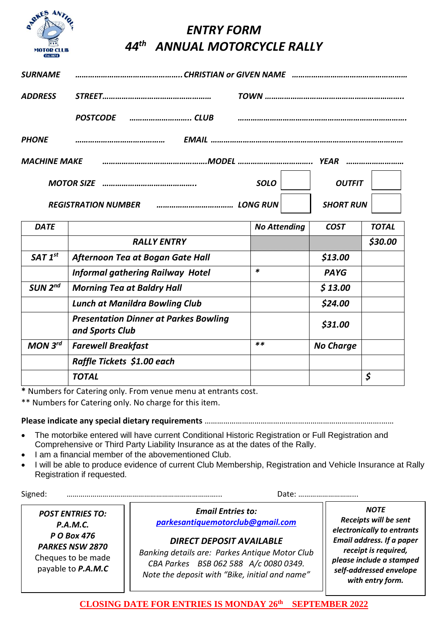

# *ENTRY FORM 44 th ANNUAL MOTORCYCLE RALLY*

| <b>SURNAME</b>      |                            |             |                  |  |  |
|---------------------|----------------------------|-------------|------------------|--|--|
| <b>ADDRESS</b>      |                            |             |                  |  |  |
|                     | <b>POSTCODE</b>            |             |                  |  |  |
| <b>PHONE</b>        |                            |             |                  |  |  |
| <b>MACHINE MAKE</b> |                            |             |                  |  |  |
|                     |                            | <b>SOLO</b> | <b>OUTFIT</b>    |  |  |
|                     | <b>REGISTRATION NUMBER</b> |             | <b>SHORT RUN</b> |  |  |

| <b>DATE</b>         |                                                                 | <b>No Attending</b> | <b>COST</b>      | <b>TOTAL</b> |
|---------------------|-----------------------------------------------------------------|---------------------|------------------|--------------|
|                     | <b>RALLY ENTRY</b>                                              |                     |                  | \$30.00      |
| SAT 1 <sup>st</sup> | Afternoon Tea at Bogan Gate Hall                                |                     | \$13.00          |              |
|                     | <b>Informal gathering Railway Hotel</b>                         | *                   | <b>PAYG</b>      |              |
| SUN 2 <sup>nd</sup> | <b>Morning Tea at Baldry Hall</b>                               |                     | \$13.00          |              |
|                     | <b>Lunch at Manildra Bowling Club</b>                           |                     | \$24.00          |              |
|                     | <b>Presentation Dinner at Parkes Bowling</b><br>and Sports Club |                     | \$31.00          |              |
| MON 3 <sup>rd</sup> | <b>Farewell Breakfast</b>                                       | $***$               | <b>No Charge</b> |              |
|                     | Raffle Tickets \$1.00 each                                      |                     |                  |              |
|                     | <b>TOTAL</b>                                                    |                     |                  | \$           |

**\*** Numbers for Catering only. From venue menu at entrants cost.

\*\* Numbers for Catering only. No charge for this item.

#### **Please indicate any special dietary requirements** ………………………………………………………………………….……

- The motorbike entered will have current Conditional Historic Registration or Full Registration and Comprehensive or Third Party Liability Insurance as at the dates of the Rally.
- I am a financial member of the abovementioned Club.
- I will be able to produce evidence of current Club Membership, Registration and Vehicle Insurance at Rally Registration if requested.

Signed: …………………………………………………………………... Date: ………………………...

*POST ENTRIES TO: P.A.M.C. P O Box 476 PARKES NSW 2870* Cheques to be made payable to *P.A.M.C*

*Email Entries to: [parkesantiquemotorclub@gmail.com](mailto:parkesantiquemotorclub@gmail.com)*

### *DIRECT DEPOSIT AVAILABLE*

*Banking details are: Parkes Antique Motor Club CBA Parkes BSB 062 588 A/c 0080 0349. Note the deposit with "Bike, initial and name"*

*NOTE Receipts will be sent electronically to entrants Email address. If a paper receipt is required, please include a stamped self-addressed envelope with entry form.*

#### **CLOSING DATE FOR ENTRIES IS MONDAY 26th SEPTEMBER 2022**